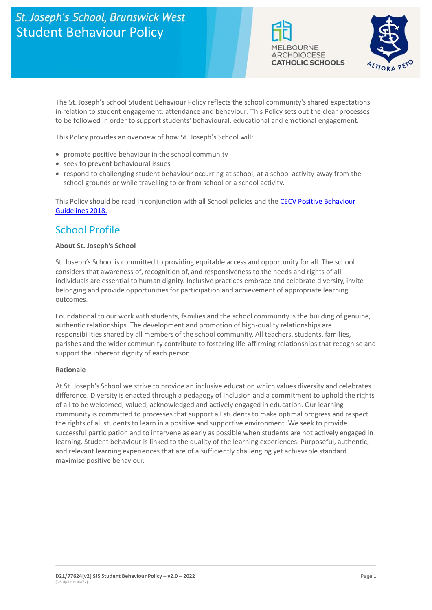# St. Joseph's School, Brunswick West Student Behaviour Policy





The St. Joseph's School Student Behaviour Policy reflects the school community's shared expectations in relation to student engagement, attendance and behaviour. This Policy sets out the clear processes to be followed in order to support students' behavioural, educational and emotional engagement.

This Policy provides an overview of how St. Joseph's School will:

- promote positive behaviour in the school community
- seek to prevent behavioural issues
- respond to challenging student behaviour occurring at school, at a school activity away from the school grounds or while travelling to or from school or a school activity.

This Policy should be read in conjunction with all School policies and the [CECV Positive Behaviour](https://www.cecv.catholic.edu.au/getmedia/bc1d235d-9a98-4bb4-b3ac-84b50fa7c639/CECV-Positive-Behaviour-Guidelines_FINAL2.aspx?ext=.pdf)  [Guidelines 2018.](https://www.cecv.catholic.edu.au/getmedia/bc1d235d-9a98-4bb4-b3ac-84b50fa7c639/CECV-Positive-Behaviour-Guidelines_FINAL2.aspx?ext=.pdf)

### School Profile

#### **About St. Joseph's School**

St. Joseph's School is committed to providing equitable access and opportunity for all. The school considers that awareness of, recognition of, and responsiveness to the needs and rights of all individuals are essential to human dignity. Inclusive practices embrace and celebrate diversity, invite belonging and provide opportunities for participation and achievement of appropriate learning outcomes.

Foundational to our work with students, families and the school community is the building of genuine, authentic relationships. The development and promotion of high-quality relationships are responsibilities shared by all members of the school community. All teachers, students, families, parishes and the wider community contribute to fostering life-affirming relationships that recognise and support the inherent dignity of each person.

#### **Rationale**

At St. Joseph's School we strive to provide an inclusive education which values diversity and celebrates difference. Diversity is enacted through a pedagogy of inclusion and a commitment to uphold the rights of all to be welcomed, valued, acknowledged and actively engaged in education. Our learning community is committed to processes that support all students to make optimal progress and respect the rights of all students to learn in a positive and supportive environment. We seek to provide successful participation and to intervene as early as possible when students are not actively engaged in learning. Student behaviour is linked to the quality of the learning experiences. Purposeful, authentic, and relevant learning experiences that are of a sufficiently challenging yet achievable standard maximise positive behaviour.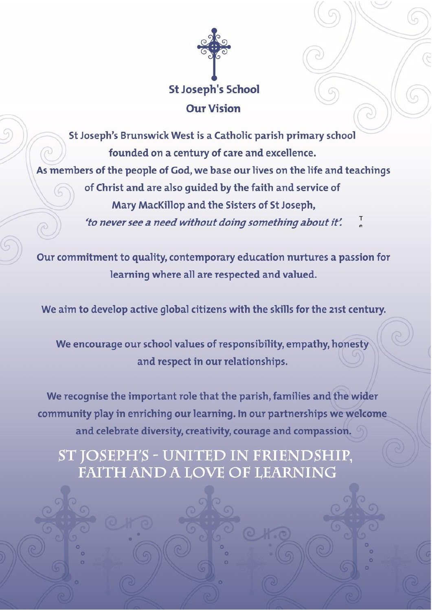

St Joseph's Brunswick West is a Catholic parish primary school founded on a century of care and excellence. W As members of the people of God, we base our lives on the life and teachings of Christ and are also quided by the faith and service of Mary MacKillop and the Sisters of St Joseph, 'to never see a need without doing something about it'.

Our commitment to quality, contemporary education nurtures a passion for learning where all are respected and valued.

We aim to develop active global citizens with the skills for the 21st century.

We encourage our school values of responsibility, empathy, honesty and respect in our relationships.

We recognise the important role that the parish, families and the wider community play in enriching our learning. In our partnerships we welcome and celebrate diversity, creativity, courage and compassion.

ST JOSEPH'S - UNITED IN FRIENDSHIP, **FAITH AND A LOVE OF LEARNING** 

**(SJS Update: 06/22)**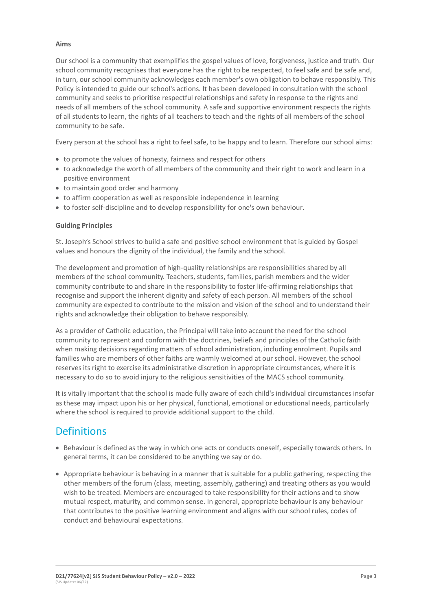#### **Aims**

Our school is a community that exemplifies the gospel values of love, forgiveness, justice and truth. Our school community recognises that everyone has the right to be respected, to feel safe and be safe and, in turn, our school community acknowledges each member's own obligation to behave responsibly. This Policy is intended to guide our school's actions. It has been developed in consultation with the school community and seeks to prioritise respectful relationships and safety in response to the rights and needs of all members of the school community. A safe and supportive environment respects the rights of all students to learn, the rights of all teachers to teach and the rights of all members of the school community to be safe.

Every person at the school has a right to feel safe, to be happy and to learn. Therefore our school aims:

- to promote the values of honesty, fairness and respect for others
- to acknowledge the worth of all members of the community and their right to work and learn in a positive environment
- to maintain good order and harmony
- to affirm cooperation as well as responsible independence in learning
- to foster self-discipline and to develop responsibility for one's own behaviour.

#### **Guiding Principles**

St. Joseph's School strives to build a safe and positive school environment that is guided by Gospel values and honours the dignity of the individual, the family and the school.

The development and promotion of high-quality relationships are responsibilities shared by all members of the school community. Teachers, students, families, parish members and the wider community contribute to and share in the responsibility to foster life-affirming relationships that recognise and support the inherent dignity and safety of each person. All members of the school community are expected to contribute to the mission and vision of the school and to understand their rights and acknowledge their obligation to behave responsibly.

As a provider of Catholic education, the Principal will take into account the need for the school community to represent and conform with the doctrines, beliefs and principles of the Catholic faith when making decisions regarding matters of school administration, including enrolment. Pupils and families who are members of other faiths are warmly welcomed at our school. However, the school reserves its right to exercise its administrative discretion in appropriate circumstances, where it is necessary to do so to avoid injury to the religious sensitivities of the MACS school community.

It is vitally important that the school is made fully aware of each child's individual circumstances insofar as these may impact upon his or her physical, functional, emotional or educational needs, particularly where the school is required to provide additional support to the child.

### **Definitions**

- Behaviour is defined as the way in which one acts or conducts oneself, especially towards others. In general terms, it can be considered to be anything we say or do.
- Appropriate behaviour is behaving in a manner that is suitable for a public gathering, respecting the other members of the forum (class, meeting, assembly, gathering) and treating others as you would wish to be treated. Members are encouraged to take responsibility for their actions and to show mutual respect, maturity, and common sense. In general, appropriate behaviour is any behaviour that contributes to the positive learning environment and aligns with our school rules, codes of conduct and behavioural expectations.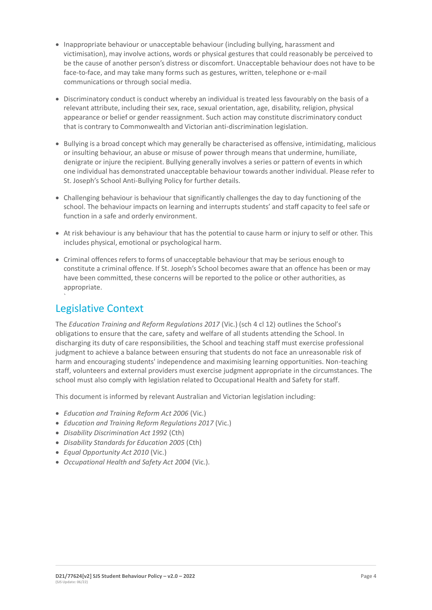- Inappropriate behaviour or unacceptable behaviour (including bullying, harassment and victimisation), may involve actions, words or physical gestures that could reasonably be perceived to be the cause of another person's distress or discomfort. Unacceptable behaviour does not have to be face-to-face, and may take many forms such as gestures, written, telephone or e-mail communications or through social media.
- Discriminatory conduct is conduct whereby an individual is treated less favourably on the basis of a relevant attribute, including their sex, race, sexual orientation, age, disability, religion, physical appearance or belief or gender reassignment. Such action may constitute discriminatory conduct that is contrary to Commonwealth and Victorian anti-discrimination legislation.
- Bullying is a broad concept which may generally be characterised as offensive, intimidating, malicious or insulting behaviour, an abuse or misuse of power through means that undermine, humiliate, denigrate or injure the recipient. Bullying generally involves a series or pattern of events in which one individual has demonstrated unacceptable behaviour towards another individual. Please refer to St. Joseph's School Anti-Bullying Policy for further details.
- Challenging behaviour is behaviour that significantly challenges the day to day functioning of the school. The behaviour impacts on learning and interrupts students' and staff capacity to feel safe or function in a safe and orderly environment.
- At risk behaviour is any behaviour that has the potential to cause harm or injury to self or other. This includes physical, emotional or psychological harm.
- Criminal offences refers to forms of unacceptable behaviour that may be serious enough to constitute a criminal offence. If St. Joseph's School becomes aware that an offence has been or may have been committed, these concerns will be reported to the police or other authorities, as appropriate.

# Legislative Context

`

The *Education Training and Reform Regulations 2017* (Vic.) (sch 4 cl 12) outlines the School's obligations to ensure that the care, safety and welfare of all students attending the School. In discharging its duty of care responsibilities, the School and teaching staff must exercise professional judgment to achieve a balance between ensuring that students do not face an unreasonable risk of harm and encouraging students' independence and maximising learning opportunities. Non-teaching staff, volunteers and external providers must exercise judgment appropriate in the circumstances. The school must also comply with legislation related to Occupational Health and Safety for staff.

This document is informed by relevant Australian and Victorian legislation including:

- *Education and Training Reform Act 2006* (Vic.)
- *Education and Training Reform Regulations 2017* (Vic.)
- *Disability Discrimination Act 1992* (Cth)
- *Disability Standards for Education 2005* (Cth)
- *Equal Opportunity Act 2010* (Vic.)
- *Occupational Health and Safety Act 2004* (Vic.).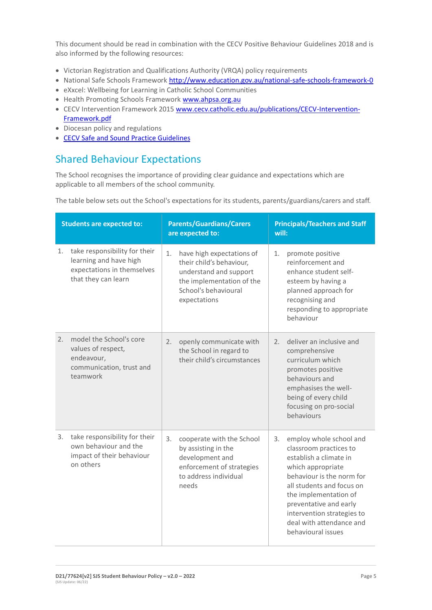This document should be read in combination with the CECV Positive Behaviour Guidelines 2018 and is also informed by the following resources:

- Victorian Registration and Qualifications Authority (VRQA) policy requirements
- National Safe Schools Framework<http://www.education.gov.au/national-safe-schools-framework-0>
- eXxcel: Wellbeing for Learning in Catholic School Communities
- Health Promoting Schools Framewor[k www.ahpsa.org.au](http://www.ahpsa.org.au/)
- CECV Intervention Framework 201[5 www.cecv.catholic.edu.au/publications/CECV-Intervention-](http://www.cecv.catholic.edu.au/publications/CECV-Intervention-Framework.pdf)[Framework.pdf](http://www.cecv.catholic.edu.au/publications/CECV-Intervention-Framework.pdf)
- Diocesan policy and regulations
- [CECV Safe and Sound Practice Guidelines](https://www.cecv.catholic.edu.au/getmedia/bad5e328-b5f9-4742-a66c-0c7f20ae21ff/Safe-and-Sound-Practice-Guidelines.aspx)

# Shared Behaviour Expectations

The School recognises the importance of providing clear guidance and expectations which are applicable to all members of the school community.

The table below sets out the School's expectations for its students, parents/guardians/carers and staff.

| <b>Students are expected to:</b> |                                                                                                              | <b>Parents/Guardians/Carers</b><br>are expected to: |                                                                                                                                                      | <b>Principals/Teachers and Staff</b><br>will: |                                                                                                                                                                                                                                                                                               |
|----------------------------------|--------------------------------------------------------------------------------------------------------------|-----------------------------------------------------|------------------------------------------------------------------------------------------------------------------------------------------------------|-----------------------------------------------|-----------------------------------------------------------------------------------------------------------------------------------------------------------------------------------------------------------------------------------------------------------------------------------------------|
| 1.                               | take responsibility for their<br>learning and have high<br>expectations in themselves<br>that they can learn | 1.                                                  | have high expectations of<br>their child's behaviour,<br>understand and support<br>the implementation of the<br>School's behavioural<br>expectations | 1.                                            | promote positive<br>reinforcement and<br>enhance student self-<br>esteem by having a<br>planned approach for<br>recognising and<br>responding to appropriate<br>behaviour                                                                                                                     |
| 2.                               | model the School's core<br>values of respect,<br>endeavour,<br>communication, trust and<br>teamwork          | 2.                                                  | openly communicate with<br>the School in regard to<br>their child's circumstances                                                                    | 2.                                            | deliver an inclusive and<br>comprehensive<br>curriculum which<br>promotes positive<br>behaviours and<br>emphasises the well-<br>being of every child<br>focusing on pro-social<br>behaviours                                                                                                  |
| 3.                               | take responsibility for their<br>own behaviour and the<br>impact of their behaviour<br>on others             | 3.                                                  | cooperate with the School<br>by assisting in the<br>development and<br>enforcement of strategies<br>to address individual<br>needs                   | 3.                                            | employ whole school and<br>classroom practices to<br>establish a climate in<br>which appropriate<br>behaviour is the norm for<br>all students and focus on<br>the implementation of<br>preventative and early<br>intervention strategies to<br>deal with attendance and<br>behavioural issues |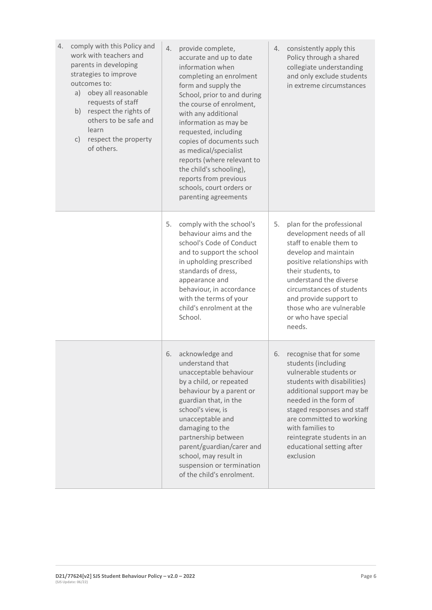| comply with this Policy and<br>4.<br>work with teachers and<br>parents in developing<br>strategies to improve<br>outcomes to:<br>obey all reasonable<br>a)<br>requests of staff<br>respect the rights of<br>b)<br>others to be safe and<br>learn<br>respect the property<br>C)<br>of others. | provide complete,<br>4.<br>accurate and up to date<br>information when<br>completing an enrolment<br>form and supply the<br>School, prior to and during<br>the course of enrolment,<br>with any additional<br>information as may be<br>requested, including<br>copies of documents such<br>as medical/specialist<br>reports (where relevant to<br>the child's schooling),<br>reports from previous<br>schools, court orders or<br>parenting agreements | consistently apply this<br>4.<br>Policy through a shared<br>collegiate understanding<br>and only exclude students<br>in extreme circumstances                                                                                                                                                                             |
|----------------------------------------------------------------------------------------------------------------------------------------------------------------------------------------------------------------------------------------------------------------------------------------------|--------------------------------------------------------------------------------------------------------------------------------------------------------------------------------------------------------------------------------------------------------------------------------------------------------------------------------------------------------------------------------------------------------------------------------------------------------|---------------------------------------------------------------------------------------------------------------------------------------------------------------------------------------------------------------------------------------------------------------------------------------------------------------------------|
|                                                                                                                                                                                                                                                                                              | 5.<br>comply with the school's<br>behaviour aims and the<br>school's Code of Conduct<br>and to support the school<br>in upholding prescribed<br>standards of dress,<br>appearance and<br>behaviour, in accordance<br>with the terms of your<br>child's enrolment at the<br>School.                                                                                                                                                                     | 5.<br>plan for the professional<br>development needs of all<br>staff to enable them to<br>develop and maintain<br>positive relationships with<br>their students, to<br>understand the diverse<br>circumstances of students<br>and provide support to<br>those who are vulnerable<br>or who have special<br>needs.         |
|                                                                                                                                                                                                                                                                                              | acknowledge and<br>6.<br>understand that<br>unacceptable behaviour<br>by a child, or repeated<br>behaviour by a parent or<br>guardian that, in the<br>school's view, is<br>unacceptable and<br>damaging to the<br>partnership between<br>parent/guardian/carer and<br>school, may result in<br>suspension or termination<br>of the child's enrolment.                                                                                                  | recognise that for some<br>6.<br>students (including<br>vulnerable students or<br>students with disabilities)<br>additional support may be<br>needed in the form of<br>staged responses and staff<br>are committed to working<br>with families to<br>reintegrate students in an<br>educational setting after<br>exclusion |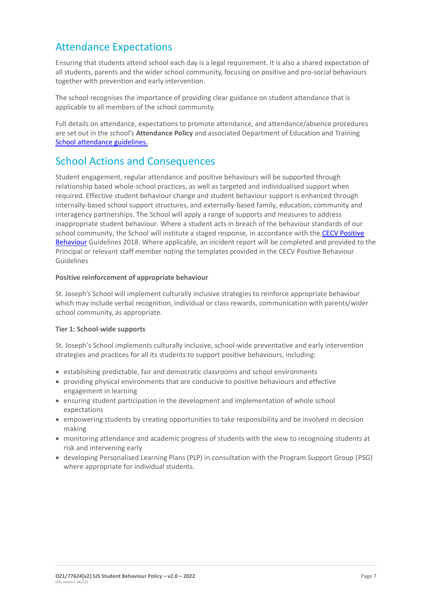## Attendance Expectations

Ensuring that students attend school each day is a legal requirement. It is also a shared expectation of all students, parents and the wider school community, focusing on positive and pro-social behaviours together with prevention and early intervention.

The school recognises the importance of providing clear guidance on student attendance that is applicable to all members of the school community.

Full details on attendance, expectations to promote attendance, and attendance/absence procedures are set out in the school's **Attendance Policy** and associated Department of Education and Training [School attendance guidelines.](https://www2.education.vic.gov.au/pal/attendance/guidance)

### School Actions and Consequences

Student engagement, regular attendance and positive behaviours will be supported through relationship based whole-school practices, as well as targeted and individualised support when required. Effective student behaviour change and student behaviour support is enhanced through internally-based school support structures, and externally-based family, education, community and interagency partnerships. The School will apply a range of supports and measures to address inappropriate student behaviour. Where a student acts in breach of the behaviour standards of our school community, the School will institute a staged response, in accordance with the CECV Positive [Behaviour](https://www.cecv.catholic.edu.au/getmedia/bc1d235d-9a98-4bb4-b3ac-84b50fa7c639/CECV-Positive-Behaviour-Guidelines_FINAL2.aspx?ext=.pdf) Guidelines 2018. Where applicable, an incident report will be completed and provided to the Principal or relevant staff member noting the templates provided in the CECV Positive Behaviour Guidelines

#### **Positive reinforcement of appropriate behaviour**

St. Joseph's School will implement culturally inclusive strategies to reinforce appropriate behaviour which may include verbal recognition, individual or class rewards, communication with parents/wider school community, as appropriate.

#### **Tier 1: School-wide supports**

St. Joseph's School implements culturally inclusive, school-wide preventative and early intervention strategies and practices for all its students to support positive behaviours, including:

- establishing predictable, fair and democratic classrooms and school environments
- providing physical environments that are conducive to positive behaviours and effective engagement in learning
- ensuring student participation in the development and implementation of whole school expectations
- empowering students by creating opportunities to take responsibility and be involved in decision making
- monitoring attendance and academic progress of students with the view to recognising students at risk and intervening early
- developing Personalised Learning Plans (PLP) in consultation with the Program Support Group (PSG) where appropriate for individual students.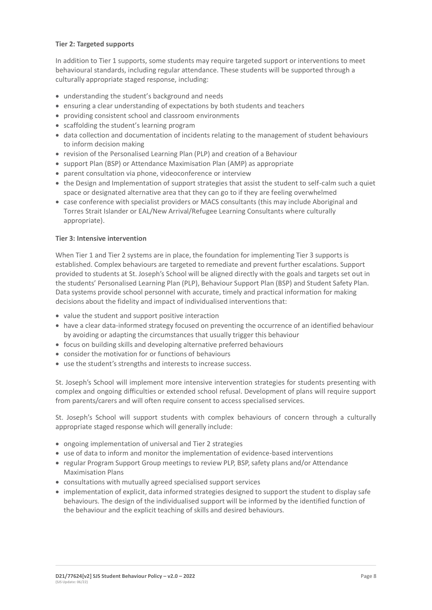#### **Tier 2: Targeted supports**

In addition to Tier 1 supports, some students may require targeted support or interventions to meet behavioural standards, including regular attendance. These students will be supported through a culturally appropriate staged response, including:

- understanding the student's background and needs
- ensuring a clear understanding of expectations by both students and teachers
- providing consistent school and classroom environments
- scaffolding the student's learning program
- data collection and documentation of incidents relating to the management of student behaviours to inform decision making
- revision of the Personalised Learning Plan (PLP) and creation of a Behaviour
- support Plan (BSP) or Attendance Maximisation Plan (AMP) as appropriate
- parent consultation via phone, videoconference or interview
- the Design and Implementation of support strategies that assist the student to self-calm such a quiet space or designated alternative area that they can go to if they are feeling overwhelmed
- case conference with specialist providers or MACS consultants (this may include Aboriginal and Torres Strait Islander or EAL/New Arrival/Refugee Learning Consultants where culturally appropriate).

#### **Tier 3: Intensive intervention**

When Tier 1 and Tier 2 systems are in place, the foundation for implementing Tier 3 supports is established. Complex behaviours are targeted to remediate and prevent further escalations. Support provided to students at St. Joseph's School will be aligned directly with the goals and targets set out in the students' Personalised Learning Plan (PLP), Behaviour Support Plan (BSP) and Student Safety Plan. Data systems provide school personnel with accurate, timely and practical information for making decisions about the fidelity and impact of individualised interventions that:

- value the student and support positive interaction
- have a clear data-informed strategy focused on preventing the occurrence of an identified behaviour by avoiding or adapting the circumstances that usually trigger this behaviour
- focus on building skills and developing alternative preferred behaviours
- consider the motivation for or functions of behaviours
- use the student's strengths and interests to increase success.

St. Joseph's School will implement more intensive intervention strategies for students presenting with complex and ongoing difficulties or extended school refusal. Development of plans will require support from parents/carers and will often require consent to access specialised services.

St. Joseph's School will support students with complex behaviours of concern through a culturally appropriate staged response which will generally include:

- ongoing implementation of universal and Tier 2 strategies
- use of data to inform and monitor the implementation of evidence-based interventions
- regular Program Support Group meetings to review PLP, BSP, safety plans and/or Attendance Maximisation Plans
- consultations with mutually agreed specialised support services
- implementation of explicit, data informed strategies designed to support the student to display safe behaviours. The design of the individualised support will be informed by the identified function of the behaviour and the explicit teaching of skills and desired behaviours.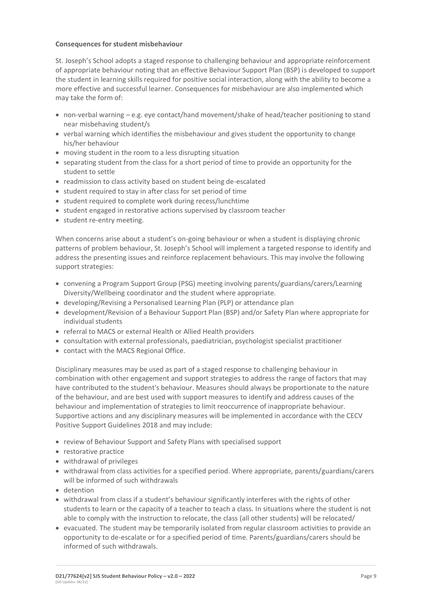#### **Consequences for student misbehaviour**

St. Joseph's School adopts a staged response to challenging behaviour and appropriate reinforcement of appropriate behaviour noting that an effective Behaviour Support Plan (BSP) is developed to support the student in learning skills required for positive social interaction, along with the ability to become a more effective and successful learner. Consequences for misbehaviour are also implemented which may take the form of:

- non-verbal warning e.g. eye contact/hand movement/shake of head/teacher positioning to stand near misbehaving student/s
- verbal warning which identifies the misbehaviour and gives student the opportunity to change his/her behaviour
- moving student in the room to a less disrupting situation
- separating student from the class for a short period of time to provide an opportunity for the student to settle
- readmission to class activity based on student being de-escalated
- student required to stay in after class for set period of time
- student required to complete work during recess/lunchtime
- student engaged in restorative actions supervised by classroom teacher
- student re-entry meeting.

When concerns arise about a student's on-going behaviour or when a student is displaying chronic patterns of problem behaviour, St. Joseph's School will implement a targeted response to identify and address the presenting issues and reinforce replacement behaviours. This may involve the following support strategies:

- convening a Program Support Group (PSG) meeting involving parents/guardians/carers/Learning Diversity/Wellbeing coordinator and the student where appropriate.
- developing/Revising a Personalised Learning Plan (PLP) or attendance plan
- development/Revision of a Behaviour Support Plan (BSP) and/or Safety Plan where appropriate for individual students
- referral to MACS or external Health or Allied Health providers
- consultation with external professionals, paediatrician, psychologist specialist practitioner
- contact with the MACS Regional Office.

Disciplinary measures may be used as part of a staged response to challenging behaviour in combination with other engagement and support strategies to address the range of factors that may have contributed to the student's behaviour. Measures should always be proportionate to the nature of the behaviour, and are best used with support measures to identify and address causes of the behaviour and implementation of strategies to limit reoccurrence of inappropriate behaviour. Supportive actions and any disciplinary measures will be implemented in accordance with the CECV Positive Support Guidelines 2018 and may include:

- review of Behaviour Support and Safety Plans with specialised support
- restorative practice
- withdrawal of privileges
- withdrawal from class activities for a specified period. Where appropriate, parents/guardians/carers will be informed of such withdrawals
- detention
- withdrawal from class if a student's behaviour significantly interferes with the rights of other students to learn or the capacity of a teacher to teach a class. In situations where the student is not able to comply with the instruction to relocate, the class (all other students) will be relocated/
- evacuated. The student may be temporarily isolated from regular classroom activities to provide an opportunity to de-escalate or for a specified period of time. Parents/guardians/carers should be informed of such withdrawals.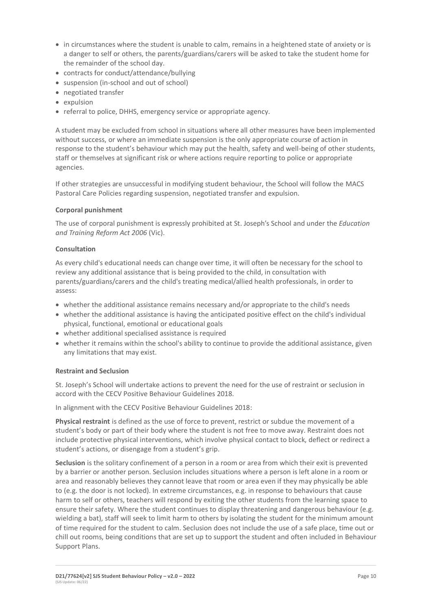- in circumstances where the student is unable to calm, remains in a heightened state of anxiety or is a danger to self or others, the parents/guardians/carers will be asked to take the student home for the remainder of the school day.
- contracts for conduct/attendance/bullying
- suspension (in-school and out of school)
- negotiated transfer
- expulsion
- referral to police, DHHS, emergency service or appropriate agency.

A student may be excluded from school in situations where all other measures have been implemented without success, or where an immediate suspension is the only appropriate course of action in response to the student's behaviour which may put the health, safety and well-being of other students, staff or themselves at significant risk or where actions require reporting to police or appropriate agencies.

If other strategies are unsuccessful in modifying student behaviour, the School will follow the MACS Pastoral Care Policies regarding suspension, negotiated transfer and expulsion.

#### **Corporal punishment**

The use of corporal punishment is expressly prohibited at St. Joseph's School and under the *Education and Training Reform Act 2006* (Vic).

#### **Consultation**

As every child's educational needs can change over time, it will often be necessary for the school to review any additional assistance that is being provided to the child, in consultation with parents/guardians/carers and the child's treating medical/allied health professionals, in order to assess:

- whether the additional assistance remains necessary and/or appropriate to the child's needs
- whether the additional assistance is having the anticipated positive effect on the child's individual physical, functional, emotional or educational goals
- whether additional specialised assistance is required
- whether it remains within the school's ability to continue to provide the additional assistance, given any limitations that may exist.

#### **Restraint and Seclusion**

St. Joseph's School will undertake actions to prevent the need for the use of restraint or seclusion in accord with the CECV Positive Behaviour Guidelines 2018.

In alignment with the CECV Positive Behaviour Guidelines 2018:

**Physical restraint** is defined as the use of force to prevent, restrict or subdue the movement of a student's body or part of their body where the student is not free to move away. Restraint does not include protective physical interventions, which involve physical contact to block, deflect or redirect a student's actions, or disengage from a student's grip.

**Seclusion** is the solitary confinement of a person in a room or area from which their exit is prevented by a barrier or another person. Seclusion includes situations where a person is left alone in a room or area and reasonably believes they cannot leave that room or area even if they may physically be able to (e.g. the door is not locked). In extreme circumstances, e.g. in response to behaviours that cause harm to self or others, teachers will respond by exiting the other students from the learning space to ensure their safety. Where the student continues to display threatening and dangerous behaviour (e.g. wielding a bat), staff will seek to limit harm to others by isolating the student for the minimum amount of time required for the student to calm. Seclusion does not include the use of a safe place, time out or chill out rooms, being conditions that are set up to support the student and often included in Behaviour Support Plans.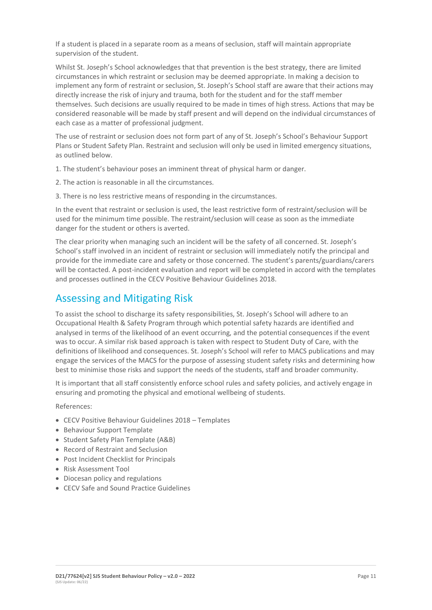If a student is placed in a separate room as a means of seclusion, staff will maintain appropriate supervision of the student.

Whilst St. Joseph's School acknowledges that that prevention is the best strategy, there are limited circumstances in which restraint or seclusion may be deemed appropriate. In making a decision to implement any form of restraint or seclusion, St. Joseph's School staff are aware that their actions may directly increase the risk of injury and trauma, both for the student and for the staff member themselves. Such decisions are usually required to be made in times of high stress. Actions that may be considered reasonable will be made by staff present and will depend on the individual circumstances of each case as a matter of professional judgment.

The use of restraint or seclusion does not form part of any of St. Joseph's School's Behaviour Support Plans or Student Safety Plan. Restraint and seclusion will only be used in limited emergency situations, as outlined below.

1. The student's behaviour poses an imminent threat of physical harm or danger.

2. The action is reasonable in all the circumstances.

3. There is no less restrictive means of responding in the circumstances.

In the event that restraint or seclusion is used, the least restrictive form of restraint/seclusion will be used for the minimum time possible. The restraint/seclusion will cease as soon as the immediate danger for the student or others is averted.

The clear priority when managing such an incident will be the safety of all concerned. St. Joseph's School's staff involved in an incident of restraint or seclusion will immediately notify the principal and provide for the immediate care and safety or those concerned. The student's parents/guardians/carers will be contacted. A post-incident evaluation and report will be completed in accord with the templates and processes outlined in the CECV Positive Behaviour Guidelines 2018.

### Assessing and Mitigating Risk

To assist the school to discharge its safety responsibilities, St. Joseph's School will adhere to an Occupational Health & Safety Program through which potential safety hazards are identified and analysed in terms of the likelihood of an event occurring, and the potential consequences if the event was to occur. A similar risk based approach is taken with respect to Student Duty of Care, with the definitions of likelihood and consequences. St. Joseph's School will refer to MACS publications and may engage the services of the MACS for the purpose of assessing student safety risks and determining how best to minimise those risks and support the needs of the students, staff and broader community.

It is important that all staff consistently enforce school rules and safety policies, and actively engage in ensuring and promoting the physical and emotional wellbeing of students.

References:

- CECV Positive Behaviour Guidelines 2018 Templates
- Behaviour Support Template
- Student Safety Plan Template (A&B)
- Record of Restraint and Seclusion
- Post Incident Checklist for Principals
- Risk Assessment Tool
- Diocesan policy and regulations
- CECV Safe and Sound Practice Guidelines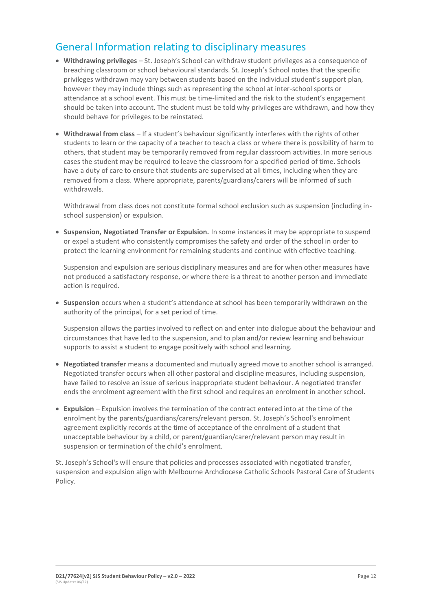### General Information relating to disciplinary measures

- **Withdrawing privileges** St. Joseph's School can withdraw student privileges as a consequence of breaching classroom or school behavioural standards. St. Joseph's School notes that the specific privileges withdrawn may vary between students based on the individual student's support plan, however they may include things such as representing the school at inter-school sports or attendance at a school event. This must be time-limited and the risk to the student's engagement should be taken into account. The student must be told why privileges are withdrawn, and how they should behave for privileges to be reinstated.
- **Withdrawal from class** If a student's behaviour significantly interferes with the rights of other students to learn or the capacity of a teacher to teach a class or where there is possibility of harm to others, that student may be temporarily removed from regular classroom activities. In more serious cases the student may be required to leave the classroom for a specified period of time. Schools have a duty of care to ensure that students are supervised at all times, including when they are removed from a class. Where appropriate, parents/guardians/carers will be informed of such withdrawals.

Withdrawal from class does not constitute formal school exclusion such as suspension (including inschool suspension) or expulsion.

• **Suspension, Negotiated Transfer or Expulsion.** In some instances it may be appropriate to suspend or expel a student who consistently compromises the safety and order of the school in order to protect the learning environment for remaining students and continue with effective teaching.

Suspension and expulsion are serious disciplinary measures and are for when other measures have not produced a satisfactory response, or where there is a threat to another person and immediate action is required.

• **Suspension** occurs when a student's attendance at school has been temporarily withdrawn on the authority of the principal, for a set period of time.

Suspension allows the parties involved to reflect on and enter into dialogue about the behaviour and circumstances that have led to the suspension, and to plan and/or review learning and behaviour supports to assist a student to engage positively with school and learning.

- **Negotiated transfer** means a documented and mutually agreed move to another school is arranged. Negotiated transfer occurs when all other pastoral and discipline measures, including suspension, have failed to resolve an issue of serious inappropriate student behaviour. A negotiated transfer ends the enrolment agreement with the first school and requires an enrolment in another school.
- **Expulsion** Expulsion involves the termination of the contract entered into at the time of the enrolment by the parents/guardians/carers/relevant person. St. Joseph's School's enrolment agreement explicitly records at the time of acceptance of the enrolment of a student that unacceptable behaviour by a child, or parent/guardian/carer/relevant person may result in suspension or termination of the child's enrolment.

St. Joseph's School's will ensure that policies and processes associated with negotiated transfer, suspension and expulsion align with Melbourne Archdiocese Catholic Schools Pastoral Care of Students Policy.